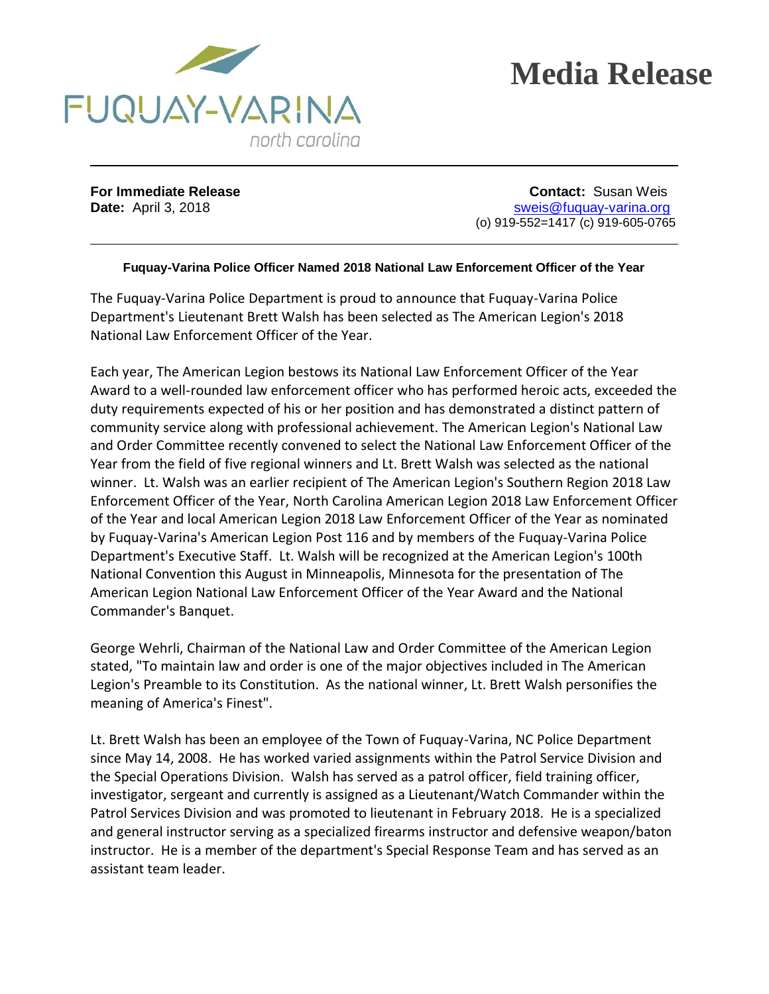



**For Immediate Release Contact:** Susan Weis **Date:** April 3, 2018 **Date:** April 3, 2018 (o) 919-552=1417 (c) 919-605-0765

## **Fuquay-Varina Police Officer Named 2018 National Law Enforcement Officer of the Year**

The Fuquay-Varina Police Department is proud to announce that Fuquay-Varina Police Department's Lieutenant Brett Walsh has been selected as The American Legion's 2018 National Law Enforcement Officer of the Year.

Each year, The American Legion bestows its National Law Enforcement Officer of the Year Award to a well-rounded law enforcement officer who has performed heroic acts, exceeded the duty requirements expected of his or her position and has demonstrated a distinct pattern of community service along with professional achievement. The American Legion's National Law and Order Committee recently convened to select the National Law Enforcement Officer of the Year from the field of five regional winners and Lt. Brett Walsh was selected as the national winner. Lt. Walsh was an earlier recipient of The American Legion's Southern Region 2018 Law Enforcement Officer of the Year, North Carolina American Legion 2018 Law Enforcement Officer of the Year and local American Legion 2018 Law Enforcement Officer of the Year as nominated by Fuquay-Varina's American Legion Post 116 and by members of the Fuquay-Varina Police Department's Executive Staff. Lt. Walsh will be recognized at the American Legion's 100th National Convention this August in Minneapolis, Minnesota for the presentation of The American Legion National Law Enforcement Officer of the Year Award and the National Commander's Banquet.

George Wehrli, Chairman of the National Law and Order Committee of the American Legion stated, "To maintain law and order is one of the major objectives included in The American Legion's Preamble to its Constitution. As the national winner, Lt. Brett Walsh personifies the meaning of America's Finest".

Lt. Brett Walsh has been an employee of the Town of Fuquay-Varina, NC Police Department since May 14, 2008. He has worked varied assignments within the Patrol Service Division and the Special Operations Division. Walsh has served as a patrol officer, field training officer, investigator, sergeant and currently is assigned as a Lieutenant/Watch Commander within the Patrol Services Division and was promoted to lieutenant in February 2018. He is a specialized and general instructor serving as a specialized firearms instructor and defensive weapon/baton instructor. He is a member of the department's Special Response Team and has served as an assistant team leader.